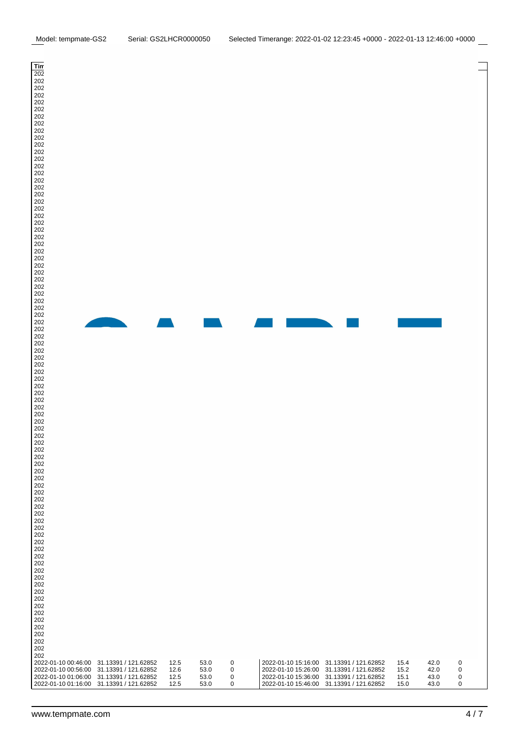| Timestamp           | Location                                 | <b>TEMP</b> | <b>HUM</b> | <b>ALS</b>   | Timestamp           | Location                                 | <b>TEMP</b> | <b>HUM</b> | <b>ALS</b> |
|---------------------|------------------------------------------|-------------|------------|--------------|---------------------|------------------------------------------|-------------|------------|------------|
| 2022-01-09 10:56:00 | 31.13391 / 121.62852                     | 14.9        | 45.0       | 0            | 2022-01-10 01:26:00 | 31.13391 / 121.62852                     | 12.5        | 53.0       | 0          |
| 2022-01-09 11:06:00 | 31.13391 / 121.62852                     | 14.7        | 45.0       | 1            | 2022-01-10 01:36:00 | 31.13391 / 121.62852                     | 12.5        | 53.0       | 0          |
| 2022-01-09 11:16:00 | 31.13391 / 121.62852                     | 14.6        | 45.0       | 1            | 2022-01-10 01:46:00 | 31.13391 / 121.62852                     | 12.5        | 53.0       | 4          |
| 2022-01-09 11:26:00 | 31.13391 / 121.62852                     | 14.4        | 45.0       | 1            | 2022-01-10 01:56:00 | 31.13391 / 121.62852                     | 12.6        | 53.0       | 4          |
| 2022-01-09 11:36:00 | 31.13391 / 121.62852                     | 14.3        | 45.0       | 1            | 2022-01-10 02:06:00 | 31.13391 / 121.62852                     | 12.5        | 53.0       | 4          |
| 2022-01-09 11:46:00 | 31.13391 / 121.62852                     | 14.2        | 46.0       | 1            | 2022-01-10 02:16:00 | 31.13391 / 121.62852                     | 12.8        | 54.0       | 3          |
| 2022-01-09 11:56:00 | 31.13391 / 121.62852                     | 14.2        | 46.0       | 1            | 2022-01-10 02:26:00 | 31.13391 / 121.62852                     | 13.3        | 53.0       | 3          |
| 2022-01-09 12:06:00 | 31.13391 / 121.62852                     | 14.0        | 46.0       | 1            | 2022-01-10 02:36:00 | 31.13391 / 121.62852                     | 13.9        | 51.0       | 3          |
| 2022-01-09 12:16:00 | 31.13391 / 121.62852                     | 14.0        | 46.0       | 1            | 2022-01-10 02:46:00 | 31.13391 / 121.62852                     | 14.5        | 50.0       | 3          |
| 2022-01-09 12:26:00 | 31.13391 / 121.62852                     | 13.9        | 46.0       | 1            | 2022-01-10 02:56:00 | 31.13391 / 121.62852                     | 15.1        | 49.0       | 3          |
| 2022-01-09 12:36:00 | 31.13391 / 121.62852                     | 13.8        | 46.0       | 1            | 2022-01-10 03:06:00 | 31.13391 / 121.62852                     | 15.5        | 48.0       | 3          |
| 2022-01-09 12:46:00 | 31.13391 / 121.62852                     | 13.8        | 47.0       | 1            | 2022-01-10 03:16:00 | 31.13391 / 121.62852                     | 15.9        | 47.0       | 3          |
| 2022-01-09 12:56:00 | 31.13391 / 121.62852                     | 13.8        | 46.0       | 1            | 2022-01-10 03:26:00 | 31.13391 / 121.62852                     | 16.2        | 46.0       | 3          |
| 2022-01-09 13:06:00 | 31.13391 / 121.62852                     | 13.7        | 47.0       | 1            | 2022-01-10 03:36:00 | 31.13391 / 121.62852                     | 16.5        | 45.0       | 3          |
| 2022-01-09 13:16:00 | 31.13391 / 121.62852                     | 13.6        | 47.0       | 1            | 2022-01-10 03:46:00 | 31.13391 / 121.62852                     | 16.8        | 44.0       | 3          |
| 2022-01-09 13:26:00 | 31.13391 / 121.62852                     | 13.6        | 47.0       | 1            | 2022-01-10 03:56:00 | 31.13391 / 121.62852                     | 17.2        | 43.0       | 3          |
| 2022-01-09 13:36:00 | 31.13391 / 121.62852                     | 13.5        | 47.0       | 1            | 2022-01-10 04:06:00 | 31.13391 / 121.62852                     | 17.3        | 43.0       | 3          |
| 2022-01-09 13:46:00 | 31.13391 / 121.62852                     | 13.5        | 48.0       | 1            | 2022-01-10 04:16:00 | 31.13391 / 121.62852                     | 17.5        | 43.0       | 3          |
| 2022-01-09 13:56:00 | 31.13391 / 121.62852                     | 13.5        | 48.0       | 1            | 2022-01-10 04:26:00 | 31.13391 / 121.62852                     | 17.7        | 42.0       | 3          |
| 2022-01-09 14:06:00 | 31.13391 / 121.62852                     | 13.4        | 49.0       | 1            | 2022-01-10 04:36:00 | 31.13391 / 121.62852                     | 17.8        | 41.0       | 3          |
| 2022-01-09 14:16:00 | 31.13391 / 121.62852                     | 13.4        | 49.0       | 1            | 2022-01-10 04:46:00 | 31.13391 / 121.62852                     | 17.9        | 41.0       | 0          |
| 2022-01-09 14:26:00 | 31.13391 / 121.62852                     | 13.3        | 49.0       | 1            | 2022-01-10 04:56:00 | 31.13391 / 121.62852                     | 18.2        | 40.0       | 0          |
| 2022-01-09 14:36:00 | 31.13391 / 121.62852                     | 13.3        | 50.0       | 1            | 2022-01-10 05:06:00 | 31.13391 / 121.62852                     | 18.2        | 40.0       | 0          |
| 2022-01-09 14:46:00 | 31.13391 / 121.62852                     | 13.3        | 50.0       | 1            | 2022-01-10 05:16:00 | 31.13391 / 121.62852                     | 18.3        | 40.0       | 1          |
| 2022-01-09 14:56:00 | 31.13391 / 121.62852                     | 13.3        | 50.0       | 1            | 2022-01-10 05:26:00 | 31.13391 / 121.62852                     | 18.4        | 40.0       | 0          |
| 2022-01-09 15:06:00 | 31.13391 / 121.62852                     | 13.3        | 50.0       | 1            | 2022-01-10 05:36:00 | 31.13391 / 121.62852                     | 18.5        | 39.0       | 4          |
| 2022-01-09 15:16:00 | 31.13391 / 121.62852                     | 13.2        | 51.0       | 1            | 2022-01-10 05:46:00 | 31.13391 / 121.62852                     | 18.5        | 39.0       | 3          |
| 2022-01-09 15:26:00 | 31.13391 / 121.62852                     | 13.2        | 51.0       | 1            | 2022-01-10 05:56:00 | 31.13391 / 121.62852                     | 18.7        | 39.0       | 3          |
| 2022-01-09 15:36:00 | 31.13391 / 121.62852                     | 13.2        | 51.0       | 1            | 2022-01-10 06:06:00 | 31.13391 / 121.62852                     | 18.6        | 39.0       | 3          |
| 2022-01-09 15:46:00 | 31.13391 / 121.62852                     | 13.1        | 51.0       | 1            | 2022-01-10 06:16:00 | 31.13391 / 121.62852                     | 18.7        | 39.0       | 3          |
| 2022-01-09 15:56:00 | 31.13391 / 121.62852                     | 13.3        | 51.0       | 1            | 2022-01-10 06:26:00 | 31.13391 / 121.62852                     | 18.8        | 39.0       | 3          |
| 2022-01-09 16:06:00 | 31.13391 / 121.62852                     | 13.2        | 51.0       | 1            | 2022-01-10 06:36:00 | 31.13391 / 121.62852                     | 18.8        | 39.0       | 3          |
| 2022-01-09 16:16:00 | 31.13391 / 121.62852                     | 13.2        | 51.0       | 1            | 2022-01-10 06:46:00 | 31.13391 / 121.62852                     | 18.9        | 39.0       | 3          |
| 2022-01-09 16:26:00 | 31.13391 / 121.62852                     | 13.1        | 51.0       | 1            | 2022-01-10 06:56:00 | 31.13391 / 121.62852                     | 19.1        | 39.0       | 3          |
| 2022-01-09 16:36:00 | 31.13391 / 121.62852                     | 13.1        | 51.0       | 1            | 2022-01-10 07:06:00 | 31.13391 / 121.62852                     | 19.1        | 39.0       | 3          |
| 2022-01-09 16:46:00 | 31.13391 / 121.62852                     | 13.1        | 51.0       | 1            | 2022-01-10 07:16:00 | 31.13391 / 121.62852                     | 19.1        | 39.0       | 3          |
| 2022-01-09 16:56:00 | 31.13391 / 121.62852                     | 13.2        | 51.0       | 1            | 2022-01-10 07:26:00 | 31.13391 / 121.62852                     | 19.2        | 39.0       | 3          |
| 2022-01-09 17:06:00 | 31.13391 / 121.62852                     | 13.1        | 51.0       | 1            | 2022-01-10 07:36:00 | 31.13391 / 121.62852                     | 19.2        | 39.0       | 3          |
| 2022-01-09 17:16:00 | 31.13391 / 121.62852                     | 13.1        | 52.0       | 1            | 2022-01-10 07:46:00 | 31.13391 / 121.62852                     | 19.2        | 39.0       | 3          |
| 2022-01-09 17:26:00 | 31.13391 / 121.62852                     | 13.1        | 52.0       | 1            | 2022-01-10 07:56:00 | 31.13391 / 121.62852                     | 19.4        | 39.0       | 3          |
| 2022-01-09 17:36:00 | 31.13391 / 121.62852                     | 13.0        | 52.0       | 1            | 2022-01-10 08:06:00 | 31.13391 / 121.62852                     | 19.4        | 39.0       | 3          |
| 2022-01-09 17:46:00 | 31.13391 / 121.62852                     | 13.0        | 52.0       | 1            | 2022-01-10 08:16:00 | 31.13391 / 121.62852                     | 19.4        | 39.0       | 3          |
| 2022-01-09 17:56:00 | 31.13391 / 121.62852                     | 13.1        | 51.0       | 1            | 2022-01-10 08:26:00 | 31.13391 / 121.62852                     | 19.3        | 39.0       | 3          |
| 2022-01-09 18:06:00 | 31.13391 / 121.62852                     | 13.0        | 52.0       | 1            | 2022-01-10 08:36:00 | 31.13391 / 121.62852                     | 19.2        | 38.0       | 3          |
| 2022-01-09 18:16:00 | 31.13391 / 121.62852                     | 13.0        | 52.0       | 1            | 2022-01-10 08:46:00 | 31.13391 / 121.62852                     | 19.2        | 39.0       | 3          |
| 2022-01-09 18:26:00 | 31.13391 / 121.62852                     | 13.0        | 52.0       | 1            | 2022-01-10 08:56:00 | 31.14061 / 121.61297                     | 19.3        | 38.0       | 4          |
| 2022-01-09 18:36:00 | 31.13391 / 121.62852                     | 13.0        | 52.0       | 1            | 2022-01-10 09:06:00 | 31.14061 / 121.61297                     | 19.2        | 39.0       | 3          |
| 2022-01-09 18:46:00 | 31.13391 / 121.62852                     | 12.9        | 52.0       | 1            | 2022-01-10 09:16:00 | 31.14061 / 121.61297                     | 19.1        | 39.0       | 3          |
| 2022-01-09 18:56:00 | 31.13391 / 121.62852                     | 13.1        | 51.0       | 1            | 2022-01-10 09:26:00 | 31.14061 / 121.61297                     | 19.1        | 39.0       | 3          |
| 2022-01-09 19:06:00 | 31.13391 / 121.62852                     | 13.0        | 52.0       | 1            | 2022-01-10 09:36:00 | 31.14061 / 121.61297                     | 19.0        | 39.0       | 3          |
| 2022-01-09 19:16:00 | 31.13391 / 121.62852                     | 13.0        | 52.0       | 1            | 2022-01-10 09:46:00 | 31.14061 / 121.61297                     | 19.0        | 39.0       | 3          |
| 2022-01-09 19:26:00 | 31.13391 / 121.62852                     | 12.9        | 52.0       | 1            | 2022-01-10 09:56:00 | 31.14061 / 121.61297                     | 19.1        | 38.0       | 4          |
| 2022-01-09 19:36:00 | 31.13391 / 121.62852                     | 12.9        | 52.0       | 1            | 2022-01-10 10:06:00 | 31.14061 / 121.61297                     | 18.9        | 38.0       | 4          |
|                     | 2022-01-09 19:46:00 31.13391 / 121.62852 | 12.9        | 52.0       | 1            |                     | 2022-01-10 10:16:00 31.14061 / 121.61297 | 18.9        | 38.0       | 3          |
| 2022-01-09 19:56:00 | 31.13391 / 121.62852                     | 13.0        | 51.0       |              | 2022-01-10 10:26:00 | 31.14061 / 121.61297                     | 18.9        | 38.0       | 3          |
|                     | 2022-01-09 20:06:00 31.13391 / 121.62852 | 12.9        | 52.0       | 1            | 2022-01-10 10:36:00 | 31.14061 / 121.61297                     | 18.9        | 38.0       | 3          |
| 2022-01-09 20:16:00 | 31.13391 / 121.62852                     | 12.9        | 52.0       | 1            | 2022-01-10 10:46:00 | 31.14061 / 121.61297                     | 19.0        | 39.0       | 3          |
| 2022-01-09 20:26:00 | 31.13391 / 121.62852                     | 12.9        | 52.0       | 1            | 2022-01-10 10:56:00 | 31.13391 / 121.62852                     | 19.1        | 38.0       | 3          |
| 2022-01-09 20:36:00 | 31.13391 / 121.62852                     | 12.8        | 52.0       | 1            | 2022-01-10 11:06:00 | 31.13391 / 121.62852                     | 19.1        | 39.0       | 3          |
| 2022-01-09 20:46:00 | 31.13391 / 121.62852                     | 12.8        | 52.0       | 1            | 2022-01-10 11:16:00 | 31.13391 / 121.62852                     | 19.1        | 39.0       | 3          |
| 2022-01-09 20:56:00 | 31.13391 / 121.62852                     | 12.9        | 52.0       | 1            | 2022-01-10 11:26:00 | 31.13391 / 121.62852                     | 19.1        | 39.0       | 3          |
| 2022-01-09 21:06:00 | 31.13391 / 121.62852                     | 12.8        | 52.0       | 1            | 2022-01-10 11:36:00 | 31.13391 / 121.62852                     | 19.1        | 38.0       | 3          |
| 2022-01-09 21:16:00 | 31.13391 / 121.62852                     | 12.8        | 52.0       | 1            | 2022-01-10 11:46:00 | 31.13391 / 121.62852                     | 19.1        | 39.0       | 3          |
| 2022-01-09 21:26:00 | 31.13391 / 121.62852                     | 12.8        | 52.0       | 1            | 2022-01-10 11:56:00 | 31.14061 / 121.61297                     | 19.3        | 38.0       | 3          |
| 2022-01-09 21:36:00 | 31.13391 / 121.62852                     | 12.7        | 52.0       | 1            | 2022-01-10 12:06:00 | 31.14061 / 121.61297                     | 19.2        | 38.0       | 3          |
| 2022-01-09 21:46:00 | 31.13391 / 121.62852                     | 12.7        | 52.0       | 1            | 2022-01-10 12:16:00 | 31.14061 / 121.61297                     | 19.2        | 38.0       | 3          |
| 2022-01-09 21:56:00 | 31.13391 / 121.62852                     | 12.8        | 52.0       | 1            | 2022-01-10 12:26:00 | 31.14061 / 121.61297                     | 19.3        | 38.0       | 3          |
| 2022-01-09 22:06:00 | 31.13391 / 121.62852                     | 12.7        | 52.0       | 1            | 2022-01-10 12:36:00 | 31.14061 / 121.61297                     | 19.4        | 38.0       | 4          |
| 2022-01-09 22:16:00 | 31.13391 / 121.62852                     | 12.7        | 52.0       | 1            | 2022-01-10 12:46:00 | 31.14061 / 121.61297                     | 19.4        | 37.0       | 3          |
| 2022-01-09 22:26:00 | 31.13391 / 121.62852                     | 12.7        | 53.0       | 1            | 2022-01-10 12:56:00 | 31.14061 / 121.61297                     | 19.3        | 37.0       | 3          |
| 2022-01-09 22:36:00 | 31.13391 / 121.62852                     | 12.6        | 53.0       | $\mathbf{1}$ | 2022-01-10 13:06:00 | 31.14061 / 121.61297                     | 18.9        | 36.0       | 1          |
| 2022-01-09 22:46:00 | 31.13391 / 121.62852                     | 12.6        | 53.0       | $\mathbf{1}$ | 2022-01-10 13:16:00 | 31.14061 / 121.61297                     | 18.4        | 36.0       | 1          |
| 2022-01-09 22:56:00 | 31.14061 / 121.61297                     | 12.7        | 52.0       | 0            | 2022-01-10 13:26:00 | 31.14061 / 121.61297                     | 18.0        | 37.0       | 1          |
| 2022-01-09 23:06:00 | 31.14061 / 121.61297                     | 12.6        | 53.0       | 0            | 2022-01-10 13:36:00 | 31.14061 / 121.61297                     | 17.6        | 38.0       | 1          |
| 2022-01-09 23:16:00 | 31.14061 / 121.61297                     | 12.6        | 53.0       | 0            | 2022-01-10 13:46:00 | 31.14061 / 121.61297                     | 17.2        | 38.0       | 0          |
| 2022-01-09 23:26:00 | 31.14061 / 121.61297                     | 12.6        | 53.0       | 0            | 2022-01-10 13:56:00 | 31.14061 / 121.61297                     | 17.1        | 38.0       | 0          |
| 2022-01-09 23:36:00 | 31.14061 / 121.61297                     | 12.6        | 53.0       | 0            | 2022-01-10 14:06:00 | 31.14061 / 121.61297                     | 16.7        | 39.0       | 0          |
| 2022-01-09 23:46:00 | 31.14061 / 121.61297                     | 12.5        | 53.0       | 0            | 2022-01-10 14:16:00 | 31.14061 / 121.61297                     | 16.4        | 40.0       | 0          |
| 2022-01-09 23:56:00 | 31.13391 / 121.62852                     | 12.7        | 53.0       | 0            | 2022-01-10 14:26:00 | 31.14061 / 121.61297                     | 16.2        | 40.0       | 0          |
| 2022-01-10 00:06:00 | 31.13391 / 121.62852                     | 12.6        | 53.0       | 0            | 2022-01-10 14:36:00 | 31.14061 / 121.61297                     | 15.9        | 41.0       | 0          |
| 2022-01-10 00:16:00 | 31.13391 / 121.62852                     | 12.6        | 53.0       | 0            | 2022-01-10 14:46:00 | 31.14061 / 121.61297                     | 15.8        | 41.0       | 0          |
| 2022-01-10 00:26:00 | 31.13391 / 121.62852                     | 12.6        | 53.0       | 0            | 2022-01-10 14:56:00 | 31.13391 / 121.62852                     | 15.7        | 41.0       | 0          |
|                     | 2022-01-10 00:36:00 31.13391 / 121.62852 | 12.5        | 53.0       | 0            |                     | 2022-01-10 15:06:00 31.13391 / 121.62852 | 15.5        | 42.0       | 0          |
| 2022-01-10 00:46:00 | 31.13391 / 121.62852                     | 12.5        | 53.0       | 0            | 2022-01-10 15:16:00 | 31.13391 / 121.62852                     | 15.4        | 42.0       | 0          |
|                     | 2022-01-10 00:56:00 31.13391 / 121.62852 | 12.6        | 53.0       | 0            |                     | 2022-01-10 15:26:00 31.13391 / 121.62852 | 15.2        | 42.0       | 0          |
|                     | 2022-01-10 01:06:00 31.13391 / 121.62852 | 12.5        | 53.0       | 0            |                     | 2022-01-10 15:36:00 31.13391 / 121.62852 | 15.1        | 43.0       | 0          |
|                     | 2022-01-10 01:16:00 31.13391 / 121.62852 | 12.5        | 53.0       | 0            |                     | 2022-01-10 15:46:00 31.13391 / 121.62852 | 15.0        | 43.0       | 0          |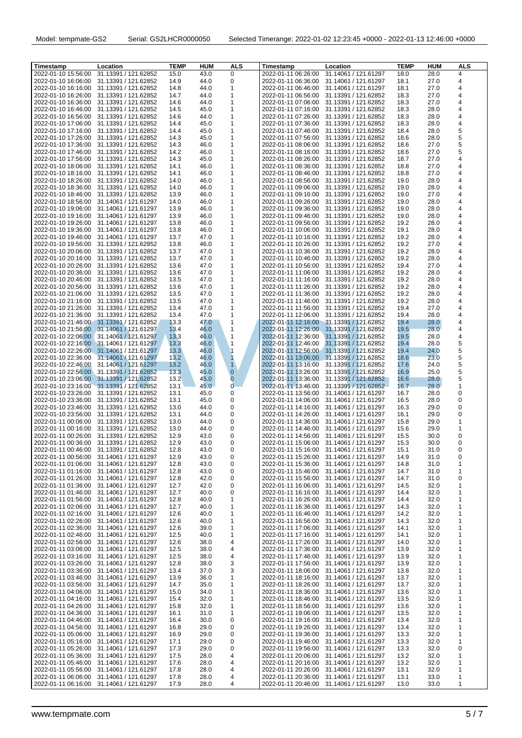| Timestamp           | Location                                 | <b>TEMP</b>    | <b>HUM</b> | <b>ALS</b>     | Timestamp           | Location                                 | <b>TEMP</b> | <b>HUM</b> | <b>ALS</b> |
|---------------------|------------------------------------------|----------------|------------|----------------|---------------------|------------------------------------------|-------------|------------|------------|
| 2022-01-10 15:56:00 | 31.13391 / 121.62852                     | 15.0           | 43.0       | 0              | 2022-01-11 06:26:00 | 31.14061 / 121.61297                     | 18.0        | 28.0       | 4          |
| 2022-01-10 16:06:00 | 31.13391 / 121.62852                     | 14.9           | 44.0       | 0              | 2022-01-11 06:36:00 | 31.14061 / 121.61297                     | 18.1        | 27.0       | 4          |
| 2022-01-10 16:16:00 | 31.13391 / 121.62852                     | 14.8           | 44.0       | 1              | 2022-01-11 06:46:00 | 31.14061 / 121.61297                     | 18.1        | 27.0       | 4          |
| 2022-01-10 16:26:00 | 31.13391 / 121.62852                     | 14.7           | 44.0       | 1              | 2022-01-11 06:56:00 | 31.13391 / 121.62852                     | 18.3        | 27.0       | 4          |
| 2022-01-10 16:36:00 | 31.13391 / 121.62852                     | 14.6           | 44.0       | 1              | 2022-01-11 07:06:00 | 31.13391 / 121.62852                     | 18.3        | 27.0       | 4          |
| 2022-01-10 16:46:00 | 31.13391 / 121.62852                     | 14.5           | 45.0       | 1              | 2022-01-11 07:16:00 | 31.13391 / 121.62852                     | 18.3        | 28.0       | 4          |
| 2022-01-10 16:56:00 | 31.13391 / 121.62852                     | 14.6           | 44.0       | 1              | 2022-01-11 07:26:00 | 31.13391 / 121.62852                     | 18.3        | 28.0       | 4          |
| 2022-01-10 17:06:00 | 31.13391 / 121.62852                     | 14.4           | 45.0       | 1              | 2022-01-11 07:36:00 | 31.13391 / 121.62852                     | 18.3        | 28.0       | 4          |
| 2022-01-10 17:16:00 | 31.13391 / 121.62852                     | 14.4           | 45.0       | 1              | 2022-01-11 07:46:00 | 31.13391 / 121.62852                     | 18.4        | 28.0       | 5          |
| 2022-01-10 17:26:00 | 31.13391 / 121.62852                     | 14.3           | 45.0       | 1              | 2022-01-11 07:56:00 | 31.13391 / 121.62852                     | 18.6        | 28.0       | 5          |
| 2022-01-10 17:36:00 | 31.13391 / 121.62852                     | 14.3           | 46.0       | 1              | 2022-01-11 08:06:00 | 31.13391 / 121.62852                     | 18.6        | 27.0       | 5          |
| 2022-01-10 17:46:00 | 31.13391 / 121.62852                     | 14.2           | 46.0       | 1              | 2022-01-11 08:16:00 | 31.13391 / 121.62852                     | 18.6        | 27.0       | 5          |
| 2022-01-10 17:56:00 | 31.13391 / 121.62852                     | 14.3           | 45.0       | 1              | 2022-01-11 08:26:00 | 31.13391 / 121.62852                     | 18.7        | 27.0       | 4          |
| 2022-01-10 18:06:00 | 31.13391 / 121.62852                     | 14.1           | 46.0       | 1              | 2022-01-11 08:36:00 | 31.13391 / 121.62852                     | 18.8        | 27.0       | 4          |
| 2022-01-10 18:16:00 | 31.13391 / 121.62852                     | 14.1           | 46.0       | 1              | 2022-01-11 08:46:00 | 31.13391 / 121.62852                     | 18.8        | 27.0       | 4          |
| 2022-01-10 18:26:00 | 31.13391 / 121.62852                     | 14.0           | 46.0       | 1              | 2022-01-11 08:56:00 | 31.13391 / 121.62852                     | 19.0        | 28.0       | 4          |
| 2022-01-10 18:36:00 | 31.13391 / 121.62852                     | 14.0           | 46.0       | 1              | 2022-01-11 09:06:00 | 31.13391 / 121.62852                     | 19.0        | 28.0       | 4          |
| 2022-01-10 18:46:00 | 31.13391 / 121.62852                     | 13.9           | 46.0       | 1              | 2022-01-11 09:16:00 | 31.13391 / 121.62852                     | 19.0        | 27.0       | 4          |
| 2022-01-10 18:56:00 | 31.14061 / 121.61297                     | 14.0           | 46.0       | 1              | 2022-01-11 09:26:00 | 31.13391 / 121.62852                     | 19.0        | 28.0       | 4          |
| 2022-01-10 19:06:00 | 31.14061 / 121.61297                     | 13.9           | 46.0       | 1              | 2022-01-11 09:36:00 | 31.13391 / 121.62852                     | 19.0        | 28.0       | 4          |
| 2022-01-10 19:16:00 | 31.14061 / 121.61297                     | 13.9           | 46.0       | 1              | 2022-01-11 09:46:00 | 31.13391 / 121.62852                     | 19.0        | 28.0       | 4          |
| 2022-01-10 19:26:00 | 31.14061 / 121.61297                     | 13.8           | 46.0       | 1              | 2022-01-11 09:56:00 | 31.13391 / 121.62852                     | 19.2        | 28.0       | 4          |
| 2022-01-10 19:36:00 | 31.14061 / 121.61297                     | 13.8           | 46.0       | 1              | 2022-01-11 10:06:00 | 31.13391 / 121.62852                     | 19.1        | 28.0       | 4          |
| 2022-01-10 19:46:00 | 31.14061 / 121.61297                     | 13.7           | 47.0       | 1              | 2022-01-11 10:16:00 | 31.13391 / 121.62852                     | 19.2        | 28.0       | 4          |
| 2022-01-10 19:56:00 | 31.13391 / 121.62852                     | 13.8           | 46.0       | 1              | 2022-01-11 10:26:00 | 31.13391 / 121.62852                     | 19.2        | 27.0       | 4          |
| 2022-01-10 20:06:00 | 31.13391 / 121.62852                     | 13.7           | 47.0       | 1              | 2022-01-11 10:36:00 | 31.13391 / 121.62852                     | 19.2        | 28.0       | 4          |
| 2022-01-10 20:16:00 | 31.13391 / 121.62852                     | 13.7           | 47.0       | 1              | 2022-01-11 10:46:00 | 31.13391 / 121.62852                     | 19.2        | 28.0       | 4          |
| 2022-01-10 20:26:00 | 31.13391 / 121.62852                     | 13.6           | 47.0       | 1              | 2022-01-11 10:56:00 | 31.13391 / 121.62852                     | 19.4        | 27.0       | 4          |
| 2022-01-10 20:36:00 | 31.13391 / 121.62852                     | 13.6           | 47.0       | 1              | 2022-01-11 11:06:00 | 31.13391 / 121.62852                     | 19.2        | 28.0       | 4          |
| 2022-01-10 20:46:00 | 31.13391 / 121.62852                     | 13.5           | 47.0       | 1              | 2022-01-11 11:16:00 | 31.13391 / 121.62852                     | 19.2        | 28.0       | 4          |
| 2022-01-10 20:56:00 | 31.13391 / 121.62852                     | 13.6           | 47.0       | 1              | 2022-01-11 11:26:00 | 31.13391 / 121.62852                     | 19.2        | 28.0       | 4          |
| 2022-01-10 21:06:00 | 31.13391 / 121.62852                     | 13.5           | 47.0       | 1              | 2022-01-11 11:36:00 | 31.13391 / 121.62852                     | 19.2        | 28.0       | 4          |
| 2022-01-10 21:16:00 | 31.13391 / 121.62852                     | 13.5           | 47.0       | 1              | 2022-01-11 11:46:00 | 31.13391 / 121.62852                     | 19.2        | 28.0       | 4          |
| 2022-01-10 21:26:00 | 31.13391 / 121.62852                     | 13.4           | 47.0       | 1              | 2022-01-11 11:56:00 | 31.13391 / 121.62852                     | 19.4        | 27.0       | 4          |
| 2022-01-10 21:36:00 | 31.13391 / 121.62852                     | 13.4           | 47.0       | 1              | 2022-01-11 12:06:00 | 31.13391 / 121.62852                     | 19.4        | 28.0       | 4          |
|                     | 2022-01-10 21:46:00 31.13391 / 121.62852 | 13.3           | 47.0       | 1              |                     | 2022-01-11 12:16:00 31.13391 / 121.62852 | 19.4        | 28.0       | 4          |
|                     | 2022-01-10 21:56:00 31.14061 / 121.61297 | 13.4           | 46.0       | 1              |                     | 2022-01-11 12:26:00 31.13391 / 121.62852 | 19.5        | 28.0       | 4          |
|                     | 2022-01-10 22:06:00 31.14061 / 121.61297 | 13.3           | 46.0       | $\mathbf{1}$   | 2022-01-11 12:36:00 | 31.13391 / 121.62852                     | 19.5        | 28.0       | 4          |
|                     | 2022-01-10 22:16:00 31.14061 / 121.61297 | 13.3           | 46.0       | $\mathbf{1}$   | 2022-01-11 12:46:00 | 31.13391 / 121.62852                     | 19.4        | 28.0       | 5          |
|                     | 2022-01-10 22:26:00 31.14061 / 121.61297 | $13.3^{\circ}$ | 46.0       | $\mathbf 1$    | 2022-01-11 12:56:00 | 31.13391 / 121.62852                     | 19.4        | 24.0       | 5          |
| 2022-01-10 22:36:00 | 31.14061 / 121.61297                     | 13.2           | 46.0       | $\mathbf{1}$   |                     | 2022-01-11 13:06:00 31.13391 / 121.62852 | 18.6        | 23.0       | 5          |
| 2022-01-10 22:46:00 | 31.14061 / 121.61297                     | 13.2           | 46.0       | $\mathbf{1}$   | 2022-01-11 13:16:00 | 31.13391 / 121.62852                     | 17.6        | 24.0       | 5          |
| 2022-01-10 22:56:00 | 31.13391 / 121.62852                     | 13.3           | 45.0       | $\mathbf{0}$   | 2022-01-11 13:26:00 | 31.13391 / 121.62852                     | 16.9        | 25.0       | 5          |
| 2022-01-10 23:06:00 | 31.13391 / 121.62852                     | 13.2           | 45.0       | $\overline{0}$ | 2022-01-11 13:36:00 | 31.13391 / 121.62852                     | 16.6        | 28.0       | 5          |
| 2022-01-10 23:16:00 | 31.13391 / 121.62852                     | 13.1           | 45.0       | $\overline{0}$ | 2022-01-11 13:46:00 | 31.13391 / 121.62852                     | 16.7        | 28.0       | 1          |
| 2022-01-10 23:26:00 | 31.13391 / 121.62852                     | 13.1           | 45.0       | 0              | 2022-01-11 13:56:00 | 31.14061 / 121.61297                     | 16.7        | 28.0       | 0          |
| 2022-01-10 23:36:00 | 31.13391 / 121.62852                     | 13.1           | 45.0       | 0              | 2022-01-11 14:06:00 | 31.14061 / 121.61297                     | 16.5        | 28.0       | 0          |
| 2022-01-10 23:46:00 | 31.13391 / 121.62852                     | 13.0           | 44.0       | 0              | 2022-01-11 14:16:00 | 31.14061 / 121.61297                     | 16.3        | 29.0       | 0          |
| 2022-01-10 23:56:00 | 31.13391 / 121.62852                     | 13.1           | 44.0       | 0              | 2022-01-11 14:26:00 | 31.14061 / 121.61297                     | 16.1        | 29.0       | 0          |
| 2022-01-11 00:06:00 | 31.13391 / 121.62852                     | 13.0           | 44.0       | 0              | 2022-01-11 14:36:00 | 31.14061 / 121.61297                     | 15.8        | 29.0       | 1          |
| 2022-01-11 00:16:00 | 31.13391 / 121.62852                     | 13.0           | 44.0       | 0              | 2022-01-11 14:46:00 | 31.14061 / 121.61297                     | 15.6        | 29.0       | 1          |
| 2022-01-11 00:26:00 | 31.13391 / 121.62852                     | 12.9           | 43.0       | 0              | 2022-01-11 14:56:00 | 31.14061 / 121.61297                     | 15.5        | 30.0       | 0          |
|                     | 2022-01-11 00:36:00 31.13391 / 121.62852 | 12.9           | 43.0       | 0              |                     | 2022-01-11 15:06:00 31.14061 / 121.61297 | 15.3        | 30.0       | 0          |
|                     | 2022-01-11 00:46:00 31.13391 / 121.62852 | 12.8           | 43.0       | 0              |                     | 2022-01-11 15:16:00 31.14061 / 121.61297 | 15.1        | 31.0       | 0          |
|                     | 2022-01-11 00:56:00 31.14061 / 121.61297 | 12.9           | 43.0       | 0              |                     | 2022-01-11 15:26:00 31.14061 / 121.61297 | 14.9        | 31.0       | 0          |
|                     | 2022-01-11 01:06:00 31.14061 / 121.61297 | 12.8           | 43.0       | 0              | 2022-01-11 15:36:00 | 31.14061 / 121.61297                     | 14.8        | 31.0       | 1          |
| 2022-01-11 01:16:00 | 31.14061 / 121.61297                     | 12.8           | 43.0       | 0              | 2022-01-11 15:46:00 | 31.14061 / 121.61297                     | 14.7        | 31.0       | 1          |
| 2022-01-11 01:26:00 | 31.14061 / 121.61297                     | 12.8           | 42.0       | 0              | 2022-01-11 15:56:00 | 31.14061 / 121.61297                     | 14.7        | 31.0       | 0          |
| 2022-01-11 01:36:00 | 31.14061 / 121.61297                     | 12.7           | 42.0       | 0              | 2022-01-11 16:06:00 | 31.14061 / 121.61297                     | 14.5        | 32.0       | 1          |
| 2022-01-11 01:46:00 | 31.14061 / 121.61297                     | 12.7           | 40.0       | 0              | 2022-01-11 16:16:00 | 31.14061 / 121.61297                     | 14.4        | 32.0       | 1          |
| 2022-01-11 01:56:00 | 31.14061 / 121.61297                     | 12.8           | 40.0       | 1              | 2022-01-11 16:26:00 | 31.14061 / 121.61297                     | 14.4        | 32.0       | 1          |
| 2022-01-11 02:06:00 | 31.14061 / 121.61297                     | 12.7           | 40.0       | 1              | 2022-01-11 16:36:00 | 31.14061 / 121.61297                     | 14.3        | 32.0       | 1          |
| 2022-01-11 02:16:00 | 31.14061 / 121.61297                     | 12.6           | 40.0       | 1              | 2022-01-11 16:46:00 | 31.14061 / 121.61297                     | 14.2        | 32.0       | 1          |
| 2022-01-11 02:26:00 | 31.14061 / 121.61297                     | 12.6           | 40.0       | 1              | 2022-01-11 16:56:00 | 31.14061 / 121.61297                     | 14.3        | 32.0       | 1          |
| 2022-01-11 02:36:00 | 31.14061 / 121.61297                     | 12.6           | 39.0       | 1              | 2022-01-11 17:06:00 | 31.14061 / 121.61297                     | 14.1        | 32.0       | 1          |
| 2022-01-11 02:46:00 | 31.14061 / 121.61297                     | 12.5           | 40.0       | 1              | 2022-01-11 17:16:00 | 31.14061 / 121.61297                     | 14.1        | 32.0       | 1          |
| 2022-01-11 02:56:00 | 31.14061 / 121.61297                     | 12.6           | 38.0       | 4              | 2022-01-11 17:26:00 | 31.14061 / 121.61297                     | 14.0        | 32.0       | 1          |
| 2022-01-11 03:06:00 | 31.14061 / 121.61297                     | 12.5           | 38.0       | 4              | 2022-01-11 17:36:00 | 31.14061 / 121.61297                     | 13.9        | 32.0       | 1          |
| 2022-01-11 03:16:00 | 31.14061 / 121.61297                     | 12.5           | 38.0       | 4              | 2022-01-11 17:46:00 | 31.14061 / 121.61297                     | 13.9        | 32.0       | 1          |
| 2022-01-11 03:26:00 | 31.14061 / 121.61297                     | 12.8           | 38.0       | 3              | 2022-01-11 17:56:00 | 31.14061 / 121.61297                     | 13.9        | 32.0       | 1          |
| 2022-01-11 03:36:00 | 31.14061 / 121.61297                     | 13.4           | 37.0       | 3              | 2022-01-11 18:06:00 | 31.14061 / 121.61297                     | 13.8        | 32.0       | 1          |
| 2022-01-11 03:46:00 | 31.14061 / 121.61297                     | 13.9           | 36.0       | 1              | 2022-01-11 18:16:00 | 31.14061 / 121.61297                     | 13.7        | 32.0       | 1          |
| 2022-01-11 03:56:00 | 31.14061 / 121.61297                     | 14.7           | 35.0       | 1              | 2022-01-11 18:26:00 | 31.14061 / 121.61297                     | 13.7        | 32.0       | 1          |
| 2022-01-11 04:06:00 | 31.14061 / 121.61297                     | 15.0           | 34.0       | 1              | 2022-01-11 18:36:00 | 31.14061 / 121.61297                     | 13.6        | 32.0       | 1          |
| 2022-01-11 04:16:00 | 31.14061 / 121.61297                     | 15.4           | 32.0       | 1              | 2022-01-11 18:46:00 | 31.14061 / 121.61297                     | 13.5        | 32.0       | 1          |
| 2022-01-11 04:26:00 | 31.14061 / 121.61297                     | 15.8           | 32.0       | 1              | 2022-01-11 18:56:00 | 31.14061 / 121.61297                     | 13.6        | 32.0       | 1          |
| 2022-01-11 04:36:00 | 31.14061 / 121.61297                     | 16.1           | 31.0       | 1              | 2022-01-11 19:06:00 | 31.14061 / 121.61297                     | 13.5        | 32.0       | 1          |
| 2022-01-11 04:46:00 | 31.14061 / 121.61297                     | 16.4           | 30.0       | 0              | 2022-01-11 19:16:00 | 31.14061 / 121.61297                     | 13.4        | 32.0       | 1          |
| 2022-01-11 04:56:00 | 31.14061 / 121.61297                     | 16.8           | 29.0       | 0              | 2022-01-11 19:26:00 | 31.14061 / 121.61297                     | 13.4        | 32.0       | 1          |
| 2022-01-11 05:06:00 | 31.14061 / 121.61297                     | 16.9           | 29.0       | 0              | 2022-01-11 19:36:00 | 31.14061 / 121.61297                     | 13.3        | 32.0       | 1          |
| 2022-01-11 05:16:00 | 31.14061 / 121.61297                     | 17.1           | 29.0       | 0              | 2022-01-11 19:46:00 | 31.14061 / 121.61297                     | 13.3        | 32.0       | 1          |
| 2022-01-11 05:26:00 | 31.14061 / 121.61297                     | 17.3           | 29.0       | 0              | 2022-01-11 19:56:00 | 31.14061 / 121.61297                     | 13.3        | 32.0       | 0          |
| 2022-01-11 05:36:00 | 31.14061 / 121.61297                     | 17.5           | 28.0       | 4              | 2022-01-11 20:06:00 | 31.14061 / 121.61297                     | 13.2        | 32.0       | 1          |
| 2022-01-11 05:46:00 | 31.14061 / 121.61297                     | 17.6           | 28.0       | 4              | 2022-01-11 20:16:00 | 31.14061 / 121.61297                     | 13.2        | 32.0       | 1          |
| 2022-01-11 05:56:00 | 31.14061 / 121.61297                     | 17.8           | 28.0       | 4              | 2022-01-11 20:26:00 | 31.14061 / 121.61297                     | 13.1        | 32.0       | 1          |
| 2022-01-11 06:06:00 | 31.14061 / 121.61297                     | 17.8           | 28.0       | 4              | 2022-01-11 20:36:00 | 31.14061 / 121.61297                     | 13.1        | 33.0       | 1          |
|                     | 2022-01-11 06:16:00 31.14061 / 121.61297 | 17.9           | 28.0       | 4              |                     | 2022-01-11 20:46:00 31.14061 / 121.61297 | 13.0        | 33.0       | 1          |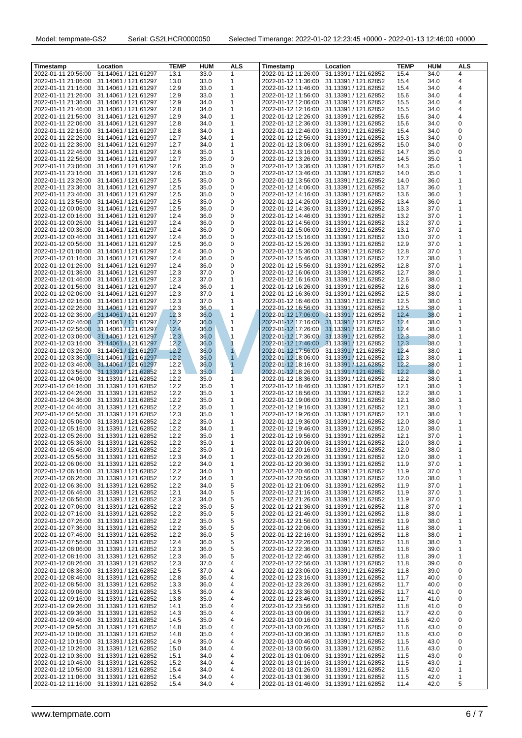| Timestamp                                  | Location                                     | <b>TEMP</b>  | <b>HUM</b>   | <b>ALS</b>     | Timestamp                                  | Location                                     | <b>TEMP</b>  | <b>HUM</b>   | <b>ALS</b>     |
|--------------------------------------------|----------------------------------------------|--------------|--------------|----------------|--------------------------------------------|----------------------------------------------|--------------|--------------|----------------|
| 2022-01-11 20:56:00                        | 31.14061 / 121.61297                         | 13.1         | 33.0         | $\mathbf{1}$   | 2022-01-12 11:26:00                        | 31.13391 / 121.62852                         | 15.4         | 34.0         | 4              |
| 2022-01-11 21:06:00                        | 31.14061 / 121.61297                         | 13.0         | 33.0         | 1              | 2022-01-12 11:36:00                        | 31.13391 / 121.62852                         | 15.4         | 34.0         | 4              |
| 2022-01-11 21:16:00                        | 31.14061 / 121.61297                         | 12.9         | 33.0         | 1              | 2022-01-12 11:46:00                        | 31.13391 / 121.62852                         | 15.4         | 34.0         | 4              |
| 2022-01-11 21:26:00                        | 31.14061 / 121.61297                         | 12.9         | 33.0         | 1              | 2022-01-12 11:56:00                        | 31.13391 / 121.62852                         | 15.6         | 34.0         | 4              |
| 2022-01-11 21:36:00                        | 31.14061 / 121.61297                         | 12.9         | 34.0         | 1              | 2022-01-12 12:06:00                        | 31.13391 / 121.62852                         | 15.5         | 34.0         | 4              |
| 2022-01-11 21:46:00                        | 31.14061 / 121.61297                         | 12.8         | 34.0         | 1              | 2022-01-12 12:16:00                        | 31.13391 / 121.62852                         | 15.5         | 34.0         | 4              |
| 2022-01-11 21:56:00                        | 31.14061 / 121.61297                         | 12.9         | 34.0         | 1              |                                            | 2022-01-12 12:26:00 31.13391 / 121.62852     | 15.6         | 34.0         | 4              |
| 2022-01-11 22:06:00                        | 31.14061 / 121.61297                         | 12.8         | 34.0         | 1              | 2022-01-12 12:36:00                        | 31.13391 / 121.62852                         | 15.6         | 34.0         | 0              |
| 2022-01-11 22:16:00                        | 31.14061 / 121.61297                         | 12.8         | 34.0         | 1              | 2022-01-12 12:46:00                        | 31.13391 / 121.62852                         | 15.4         | 34.0         | 0              |
| 2022-01-11 22:26:00                        | 31.14061 / 121.61297                         | 12.7         | 34.0         | 1              | 2022-01-12 12:56:00                        | 31.13391 / 121.62852                         | 15.3         | 34.0         | 0              |
| 2022-01-11 22:36:00                        | 31.14061 / 121.61297                         | 12.7         | 34.0         | 1              | 2022-01-12 13:06:00                        | 31.13391 / 121.62852                         | 15.0         | 34.0         | 0              |
| 2022-01-11 22:46:00                        | 31.14061 / 121.61297                         | 12.6         | 35.0         | 1              | 2022-01-12 13:16:00                        | 31.13391 / 121.62852                         | 14.7         | 35.0         | 0              |
| 2022-01-11 22:56:00                        | 31.14061 / 121.61297                         | 12.7         | 35.0         | 0              | 2022-01-12 13:26:00                        | 31.13391 / 121.62852                         | 14.5         | 35.0         | 1              |
| 2022-01-11 23:06:00                        | 31.14061 / 121.61297                         | 12.6         | 35.0         | 0              | 2022-01-12 13:36:00                        | 31.13391 / 121.62852                         | 14.3         | 35.0         | 1              |
| 2022-01-11 23:16:00                        | 31.14061 / 121.61297                         | 12.6         | 35.0         | 0              | 2022-01-12 13:46:00                        | 31.13391 / 121.62852                         | 14.0         | 35.0         | 1              |
| 2022-01-11 23:26:00                        | 31.14061 / 121.61297                         | 12.5         | 35.0         | 0              | 2022-01-12 13:56:00                        | 31.13391 / 121.62852                         | 14.0         | 36.0         | 1              |
| 2022-01-11 23:36:00                        | 31.14061 / 121.61297                         | 12.5         | 35.0         | 0              | 2022-01-12 14:06:00                        | 31.13391 / 121.62852                         | 13.7         | 36.0         | 1              |
| 2022-01-11 23:46:00                        | 31.14061 / 121.61297                         | 12.5         | 35.0         | 0              | 2022-01-12 14:16:00                        | 31.13391 / 121.62852                         | 13.6         | 36.0         | 1              |
| 2022-01-11 23:56:00                        | 31.14061 / 121.61297                         | 12.5         | 35.0         | 0              | 2022-01-12 14:26:00                        | 31.13391 / 121.62852                         | 13.4         | 36.0         | 1              |
| 2022-01-12 00:06:00                        | 31.14061 / 121.61297                         | 12.5         | 36.0         | 0              | 2022-01-12 14:36:00                        | 31.13391 / 121.62852                         | 13.3         | 37.0         | $\overline{1}$ |
| 2022-01-12 00:16:00                        | 31.14061 / 121.61297                         | 12.4         | 36.0         | 0              | 2022-01-12 14:46:00                        | 31.13391 / 121.62852                         | 13.2         | 37.0         | 1              |
| 2022-01-12 00:26:00                        | 31.14061 / 121.61297                         | 12.4         | 36.0         | 0              | 2022-01-12 14:56:00                        | 31.13391 / 121.62852                         | 13.2         | 37.0         | 1              |
| 2022-01-12 00:36:00                        | 31.14061 / 121.61297                         | 12.4         | 36.0         | 0              | 2022-01-12 15:06:00                        | 31.13391 / 121.62852                         | 13.1         | 37.0         | 1              |
| 2022-01-12 00:46:00                        | 31.14061 / 121.61297                         | 12.4         | 36.0         | 0              | 2022-01-12 15:16:00                        | 31.13391 / 121.62852                         | 13.0         | 37.0         | 1              |
| 2022-01-12 00:56:00                        | 31.14061 / 121.61297                         | 12.5         | 36.0         | 0              | 2022-01-12 15:26:00                        | 31.13391 / 121.62852                         | 12.9         | 37.0         | $\mathbf 1$    |
| 2022-01-12 01:06:00                        | 31.14061 / 121.61297                         | 12.4         | 36.0         | 0              | 2022-01-12 15:36:00                        | 31.13391 / 121.62852                         | 12.8         | 37.0         | 1              |
| 2022-01-12 01:16:00                        | 31.14061 / 121.61297                         | 12.4         | 36.0         | 0              | 2022-01-12 15:46:00                        | 31.13391 / 121.62852                         | 12.7         | 38.0         | 1              |
| 2022-01-12 01:26:00                        | 31.14061 / 121.61297                         | 12.4         | 36.0         | 0              | 2022-01-12 15:56:00                        | 31.13391 / 121.62852                         | 12.8         | 37.0         | 1              |
| 2022-01-12 01:36:00                        | 31.14061 / 121.61297                         | 12.3         | 37.0         | 0              | 2022-01-12 16:06:00                        | 31.13391 / 121.62852                         | 12.7         | 38.0         | 1              |
| 2022-01-12 01:46:00                        | 31.14061 / 121.61297                         | 12.3         | 37.0         | 1              | 2022-01-12 16:16:00                        | 31.13391 / 121.62852                         | 12.6         | 38.0         | 1              |
| 2022-01-12 01:56:00                        | 31.14061 / 121.61297                         | 12.4         | 36.0         | 1              | 2022-01-12 16:26:00                        | 31.13391 / 121.62852                         | 12.6         | 38.0         | 1              |
| 2022-01-12 02:06:00                        | 31.14061 / 121.61297                         | 12.3         | 37.0         | 1              | 2022-01-12 16:36:00                        | 31.13391 / 121.62852                         | 12.5         | 38.0         | $\mathbf 1$    |
| 2022-01-12 02:16:00                        | 31.14061 / 121.61297                         | 12.3         | 37.0         | 1              | 2022-01-12 16:46:00                        | 31.13391 / 121.62852                         | 12.5         | 38.0         | 1              |
| 2022-01-12 02:26:00                        | 31.14061 / 121.61297                         | 12.3         | 36.0         | 1              | 2022-01-12 16:56:00                        | 31.13391 / 121.62852                         | 12.5         | 38.0         | 1              |
|                                            | 2022-01-12 02:36:00 31.14061 / 121.61297     | 12.3         | 36.0         | 1              | 2022-01-12 17:06:00                        | 31.13391 / 121.62852                         | 12.4         | 38.0         | 1              |
|                                            | 2022-01-12 02:46:00 31.14061 / 121.61297     | 12.2         | 36.0         | $\mathbf{1}$   |                                            | 2022-01-12 17:16:00 31.13391 / 121.62852     | 12.4         | 38.0         | 1              |
|                                            | 2022-01-12 02:56:00 31.14061 / 121.61297     | 12.4         | 36.0         | $\mathbf{1}$   |                                            | 2022-01-12 17:26:00 31.13391 / 121.62852     | 12.4         | 38.0         | 1              |
|                                            | 2022-01-12 03:06:00 31.14061 / 121.61297     | 12.3         | 36.0         | $\mathbf{1}$   |                                            | 2022-01-12 17:36:00 31.13391 / 121.62852     | 12.3         | 38.0         | 1              |
|                                            | 2022-01-12 03:16:00 31.14061 / 121.61297     | 12.2         | 36.0         | $\mathbf{1}$   |                                            | 2022-01-12 17:46:00 31.13391 / 121.62852     | 12.3         | 38.0         | 1              |
| 2022-01-12 03:26:00                        | 31.14061 / 121.61297                         | 12.2         | 36.0         | $\blacksquare$ | 2022-01-12 17:56:00                        | 31.13391 / 121.62852                         | 12.4         | 38.0         | 1              |
| 2022-01-12 03:36:00                        | 31.14061 / 121.61297                         | 12.2         | 36.0         | $\mathbf{1}$   | 2022-01-12 18:06:00                        | 31.13391 / 121.62852                         | 12.3         | 38.0         | 1              |
|                                            | 2022-01-12 03:46:00 31.14061 / 121.61297     | 12.2         | 36.0         | $\mathbf{1}$   | 2022-01-12 18:16:00                        | 31.13391 / 121.62852                         | 12.2         | 38.0         | 1              |
| 2022-01-12 03:56:00                        | 31.13391 / 121.62852                         | 12.3         | 35.0         | 1              | 2022-01-12 18:26:00                        | 31.13391 / 121.62852                         | 12.2         | 38.0         | 1              |
| 2022-01-12 04:06:00                        | 31.13391 / 121.62852                         | 12.2         | 35.0         | 1              | 2022-01-12 18:36:00                        | 31.13391 / 121.62852                         | 12.2         | 38.0         | 1              |
| 2022-01-12 04:16:00                        | 31.13391 / 121.62852                         | 12.2         | 35.0         | 1              | 2022-01-12 18:46:00                        | 31.13391 / 121.62852                         | 12.1         | 38.0         | 1<br>1         |
| 2022-01-12 04:26:00                        | 31.13391 / 121.62852                         | 12.2         | 35.0         | 1              | 2022-01-12 18:56:00                        | 31.13391 / 121.62852                         | 12.2         | 38.0         |                |
| 2022-01-12 04:36:00                        | 31.13391 / 121.62852                         | 12.2         | 35.0         | 1              | 2022-01-12 19:06:00                        | 31.13391 / 121.62852                         | 12.1         | 38.0         | 1<br>1         |
| 2022-01-12 04:46:00                        | 31.13391 / 121.62852<br>31.13391 / 121.62852 | 12.2         | 35.0         | 1              | 2022-01-12 19:16:00<br>2022-01-12 19:26:00 | 31.13391 / 121.62852                         | 12.1         | 38.0         | 1              |
| 2022-01-12 04:56:00                        |                                              | 12.3<br>12.2 | 35.0<br>35.0 | 1<br>1         |                                            | 31.13391 / 121.62852<br>31.13391 / 121.62852 | 12.1<br>12.0 | 38.0         | 1              |
| 2022-01-12 05:06:00<br>2022-01-12 05:16:00 | 31.13391 / 121.62852<br>31.13391 / 121.62852 | 12.2         | 34.0         | 1              | 2022-01-12 19:36:00<br>2022-01-12 19:46:00 | 31.13391 / 121.62852                         | 12.0         | 38.0<br>38.0 | 1              |
| 2022-01-12 05:26:00                        | 31.13391 / 121.62852                         | 12.2         | 35.0         | 1              | 2022-01-12 19:56:00                        | 31.13391 / 121.62852                         | 12.1         | 37.0         | 1              |
|                                            | 2022-01-12 05:36:00 31.13391 / 121.62852     | 12.2         | 35.0         | 1              |                                            | 2022-01-12 20:06:00 31.13391 / 121.62852     | 12.0         | 38.0         | 1              |
|                                            | 2022-01-12 05:46:00 31.13391 / 121.62852     | 12.2         | 35.0         | 1              |                                            | 2022-01-12 20:16:00 31.13391 / 121.62852     | 12.0         | 38.0         | 1              |
|                                            | 2022-01-12 05:56:00 31.13391 / 121.62852     | 12.3         |              | 1              |                                            | 2022-01-12 20:26:00 31.13391 / 121.62852     | 12.0         |              |                |
|                                            | 2022-01-12 06:06:00 31.13391 / 121.62852     | 12.2         | 34.0<br>34.0 | 1              |                                            | 2022-01-12 20:36:00 31.13391 / 121.62852     | 11.9         | 38.0<br>37.0 | 1              |
| 2022-01-12 06:16:00                        | 31.13391 / 121.62852                         | 12.2         | 34.0         | 1              |                                            | 2022-01-12 20:46:00 31.13391 / 121.62852     | 11.9         | 37.0         | 1              |
| 2022-01-12 06:26:00                        | 31.13391 / 121.62852                         | 12.2         | 34.0         | 1              | 2022-01-12 20:56:00                        | 31.13391 / 121.62852                         | 12.0         | 38.0         | 1              |
| 2022-01-12 06:36:00                        | 31.13391 / 121.62852                         | 12.2         | 34.0         | 5              |                                            | 2022-01-12 21:06:00 31.13391 / 121.62852     | 11.9         | 37.0         | 1              |
| 2022-01-12 06:46:00                        | 31.13391 / 121.62852                         | 12.1         | 34.0         | 5              |                                            | 2022-01-12 21:16:00 31.13391 / 121.62852     | 11.9         | 37.0         | 1              |
| 2022-01-12 06:56:00                        | 31.13391 / 121.62852                         | 12.3         | 34.0         | 5              | 2022-01-12 21:26:00                        | 31.13391 / 121.62852                         | 11.9         | 37.0         | 1              |
| 2022-01-12 07:06:00                        | 31.13391 / 121.62852                         | 12.2         | 35.0         | 5              |                                            | 2022-01-12 21:36:00 31.13391 / 121.62852     | 11.8         | 37.0         | 1              |
| 2022-01-12 07:16:00                        | 31.13391 / 121.62852                         | 12.2         | 35.0         | 5              |                                            | 2022-01-12 21:46:00 31.13391 / 121.62852     | 11.8         | 38.0         | 1              |
| 2022-01-12 07:26:00                        | 31.13391 / 121.62852                         | 12.2         | 35.0         | 5              | 2022-01-12 21:56:00                        | 31.13391 / 121.62852                         | 11.9         | 38.0         | 1              |
| 2022-01-12 07:36:00                        | 31.13391 / 121.62852                         | 12.2         | 36.0         | 5              |                                            | 2022-01-12 22:06:00 31.13391 / 121.62852     | 11.8         | 38.0         | 1              |
| 2022-01-12 07:46:00                        | 31.13391 / 121.62852                         | 12.2         | 36.0         | 5              |                                            | 2022-01-12 22:16:00 31.13391 / 121.62852     | 11.8         | 38.0         | 1              |
| 2022-01-12 07:56:00                        | 31.13391 / 121.62852                         | 12.4         | 36.0         | 5              |                                            | 2022-01-12 22:26:00 31.13391 / 121.62852     | 11.8         | 38.0         | 1              |
| 2022-01-12 08:06:00                        | 31.13391 / 121.62852                         | 12.3         | 36.0         | 5              | 2022-01-12 22:36:00                        | 31.13391 / 121.62852                         | 11.8         | 39.0         | 1              |
| 2022-01-12 08:16:00                        | 31.13391 / 121.62852                         | 12.3         | 36.0         | 5              |                                            | 2022-01-12 22:46:00 31.13391 / 121.62852     | 11.8         | 39.0         | 1              |
| 2022-01-12 08:26:00                        | 31.13391 / 121.62852                         | 12.3         | 37.0         | 4              |                                            | 2022-01-12 22:56:00 31.13391 / 121.62852     | 11.8         | 39.0         | 0              |
| 2022-01-12 08:36:00                        | 31.13391 / 121.62852                         | 12.5         | 37.0         | 4              |                                            | 2022-01-12 23:06:00 31.13391 / 121.62852     | 11.8         | 39.0         | 0              |
| 2022-01-12 08:46:00                        | 31.13391 / 121.62852                         | 12.8         | 36.0         | 4              | 2022-01-12 23:16:00                        | 31.13391 / 121.62852                         | 11.7         | 40.0         | 0              |
| 2022-01-12 08:56:00                        | 31.13391 / 121.62852                         | 13.3         | 36.0         | 4              |                                            | 2022-01-12 23:26:00 31.13391 / 121.62852     | 11.7         | 40.0         | 0              |
| 2022-01-12 09:06:00                        | 31.13391 / 121.62852                         | 13.5         | 36.0         | 4              |                                            | 2022-01-12 23:36:00 31.13391 / 121.62852     | 11.7         | 41.0         | 0              |
| 2022-01-12 09:16:00                        | 31.13391 / 121.62852                         | 13.8         | 35.0         | 4              | 2022-01-12 23:46:00                        | 31.13391 / 121.62852                         | 11.7         | 41.0         | 0              |
| 2022-01-12 09:26:00                        | 31.13391 / 121.62852                         | 14.1         | 35.0         | 4              |                                            | 2022-01-12 23:56:00 31.13391 / 121.62852     | 11.8         | 41.0         | 0              |
| 2022-01-12 09:36:00                        | 31.13391 / 121.62852                         | 14.3         | 35.0         | 4              |                                            | 2022-01-13 00:06:00 31.13391 / 121.62852     | 11.7         | 42.0         | 0              |
| 2022-01-12 09:46:00                        | 31.13391 / 121.62852                         | 14.5         | 35.0         | 4              | 2022-01-13 00:16:00                        | 31.13391 / 121.62852                         | 11.6         | 42.0         | 0              |
| 2022-01-12 09:56:00                        | 31.13391 / 121.62852                         | 14.8         | 35.0         | 4              |                                            | 2022-01-13 00:26:00 31.13391 / 121.62852     | 11.6         | 43.0         | 0              |
|                                            | 2022-01-12 10:06:00 31.13391 / 121.62852     | 14.8         | 35.0         | 4              |                                            | 2022-01-13 00:36:00 31.13391 / 121.62852     | 11.6         | 43.0         | 0              |
| 2022-01-12 10:16:00                        | 31.13391 / 121.62852                         | 14.9         | 35.0         | 4              | 2022-01-13 00:46:00                        | 31.13391 / 121.62852                         | 11.5         | 43.0         | 0              |
| 2022-01-12 10:26:00                        | 31.13391 / 121.62852                         | 15.0         | 34.0         | 4              |                                            | 2022-01-13 00:56:00 31.13391 / 121.62852     | 11.6         | 43.0         | 0              |
|                                            | 2022-01-12 10:36:00 31.13391 / 121.62852     | 15.1         | 34.0         | 4              |                                            | 2022-01-13 01:06:00 31.13391 / 121.62852     | 11.5         | 43.0         | 0              |
|                                            | 2022-01-12 10:46:00 31.13391 / 121.62852     | 15.2         | 34.0         | 4              |                                            | 2022-01-13 01:16:00 31.13391 / 121.62852     | 11.5         | 43.0         | 1              |
| 2022-01-12 10:56:00                        | 31.13391 / 121.62852                         | 15.4         | 34.0         | 4              |                                            | 2022-01-13 01:26:00 31.13391 / 121.62852     | 11.5         | 42.0         | 1              |
| 2022-01-12 11:06:00                        | 31.13391 / 121.62852                         | 15.4         | 34.0         | 4              |                                            | 2022-01-13 01:36:00 31.13391 / 121.62852     | 11.5         | 42.0         | 1              |
|                                            | 2022-01-12 11:16:00 31.13391 / 121.62852     | 15.4         | 34.0         | 4              |                                            | 2022-01-13 01:46:00 31.13391 / 121.62852     | 11.4         | 42.0         | 5              |